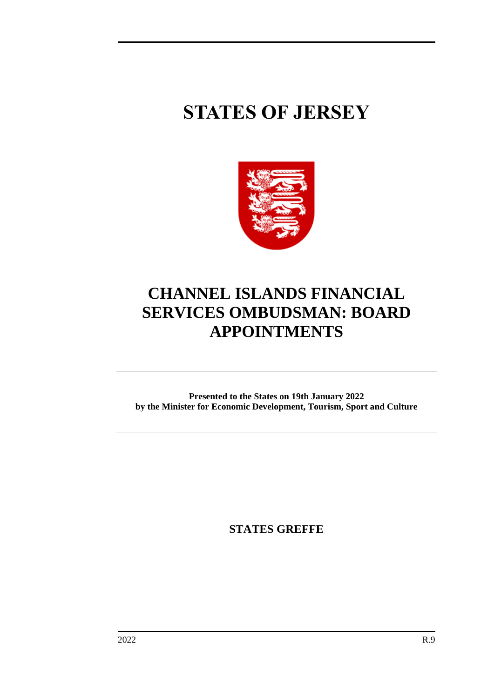# **STATES OF JERSEY**



## **CHANNEL ISLANDS FINANCIAL SERVICES OMBUDSMAN: BOARD APPOINTMENTS**

**Presented to the States on 19th January 2022 by the Minister for Economic Development, Tourism, Sport and Culture**

**STATES GREFFE**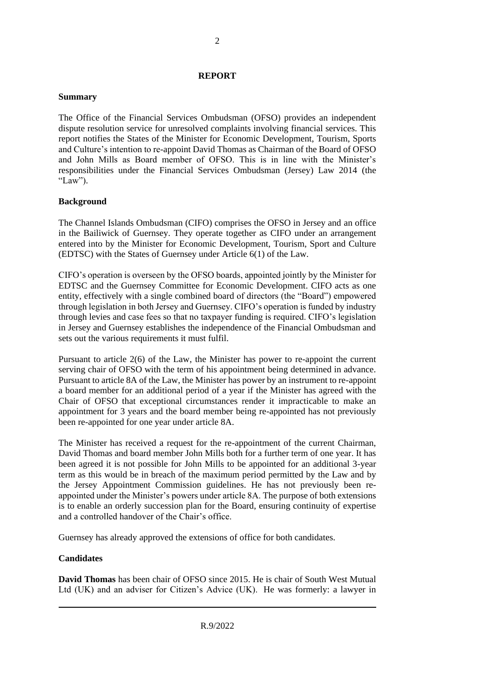#### **REPORT**

#### **Summary**

The Office of the Financial Services Ombudsman (OFSO) provides an independent dispute resolution service for unresolved complaints involving financial services. This report notifies the States of the Minister for Economic Development, Tourism, Sports and Culture's intention to re-appoint David Thomas as Chairman of the Board of OFSO and John Mills as Board member of OFSO. This is in line with the Minister's responsibilities under the Financial Services Ombudsman (Jersey) Law 2014 (the "Law").

#### **Background**

The Channel Islands Ombudsman (CIFO) comprises the OFSO in Jersey and an office in the Bailiwick of Guernsey. They operate together as CIFO under an arrangement entered into by the Minister for Economic Development, Tourism, Sport and Culture (EDTSC) with the States of Guernsey under Article 6(1) of the Law.

CIFO's operation is overseen by the OFSO boards, appointed jointly by the Minister for EDTSC and the Guernsey Committee for Economic Development. CIFO acts as one entity, effectively with a single combined board of directors (the "Board") empowered through legislation in both Jersey and Guernsey. CIFO's operation is funded by industry through levies and case fees so that no taxpayer funding is required. CIFO's legislation in Jersey and Guernsey establishes the independence of the Financial Ombudsman and sets out the various requirements it must fulfil.

Pursuant to article 2(6) of the Law, the Minister has power to re-appoint the current serving chair of OFSO with the term of his appointment being determined in advance. Pursuant to article 8A of the Law, the Minister has power by an instrument to re-appoint a board member for an additional period of a year if the Minister has agreed with the Chair of OFSO that exceptional circumstances render it impracticable to make an appointment for 3 years and the board member being re-appointed has not previously been re-appointed for one year under article 8A.

The Minister has received a request for the re-appointment of the current Chairman, David Thomas and board member John Mills both for a further term of one year. It has been agreed it is not possible for John Mills to be appointed for an additional 3-year term as this would be in breach of the maximum period permitted by the Law and by the Jersey Appointment Commission guidelines. He has not previously been reappointed under the Minister's powers under article 8A. The purpose of both extensions is to enable an orderly succession plan for the Board, ensuring continuity of expertise and a controlled handover of the Chair's office.

Guernsey has already approved the extensions of office for both candidates.

### **Candidates**

**David Thomas** has been chair of OFSO since 2015. He is chair of South West Mutual Ltd (UK) and an adviser for Citizen's Advice (UK). He was formerly: a lawyer in